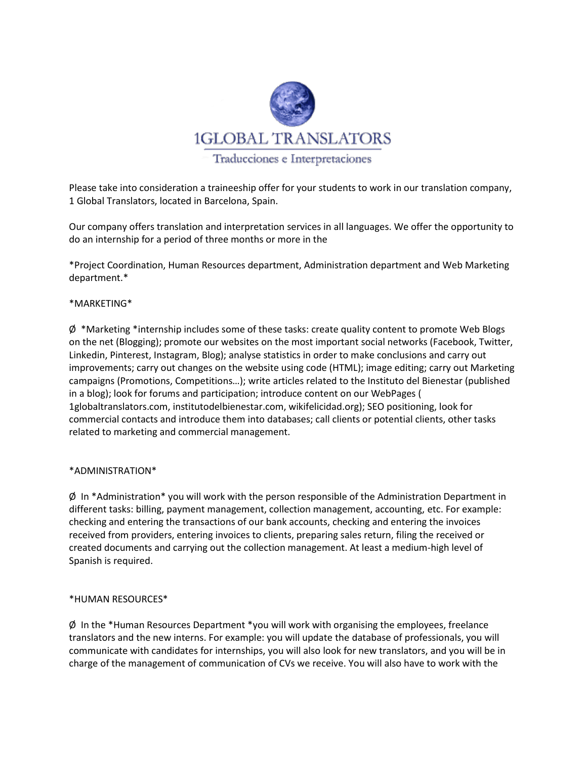

Please take into consideration a traineeship offer for your students to work in our translation company, 1 Global Translators, located in Barcelona, Spain.

Our company offers translation and interpretation services in all languages. We offer the opportunity to do an internship for a period of three months or more in the

\*Project Coordination, Human Resources department, Administration department and Web Marketing department.\*

### \*MARKETING\*

 $\varnothing$  \*Marketing \*internship includes some of these tasks: create quality content to promote Web Blogs on the net (Blogging); promote our websites on the most important social networks (Facebook, Twitter, Linkedin, Pinterest, Instagram, Blog); analyse statistics in order to make conclusions and carry out improvements; carry out changes on the website using code (HTML); image editing; carry out Marketing campaigns (Promotions, Competitions…); write articles related to the Instituto del Bienestar (published in a blog); look for forums and participation; introduce content on our WebPages ( 1globaltranslators.com, institutodelbienestar.com, wikifelicidad.org); SEO positioning, look for commercial contacts and introduce them into databases; call clients or potential clients, other tasks related to marketing and commercial management.

#### \*ADMINISTRATION\*

Ø In \*Administration\* you will work with the person responsible of the Administration Department in different tasks: billing, payment management, collection management, accounting, etc. For example: checking and entering the transactions of our bank accounts, checking and entering the invoices received from providers, entering invoices to clients, preparing sales return, filing the received or created documents and carrying out the collection management. At least a medium-high level of Spanish is required.

#### \*HUMAN RESOURCES\*

 $\phi$  In the \*Human Resources Department \*you will work with organising the employees, freelance translators and the new interns. For example: you will update the database of professionals, you will communicate with candidates for internships, you will also look for new translators, and you will be in charge of the management of communication of CVs we receive. You will also have to work with the